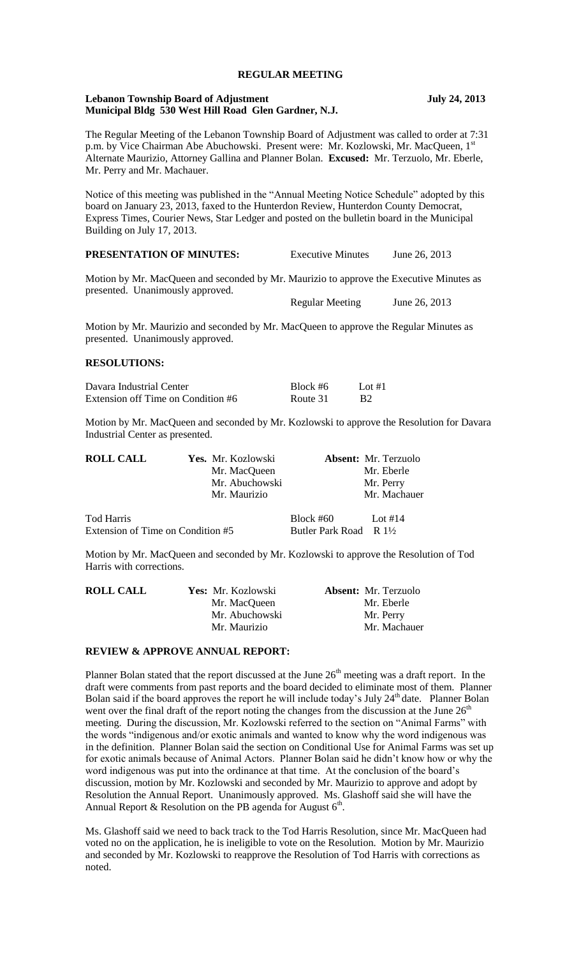# **REGULAR MEETING**

### **Lebanon Township Board of Adjustment July 24, 2013 Municipal Bldg 530 West Hill Road Glen Gardner, N.J.**

The Regular Meeting of the Lebanon Township Board of Adjustment was called to order at 7:31 p.m. by Vice Chairman Abe Abuchowski. Present were: Mr. Kozlowski, Mr. MacQueen, 1st Alternate Maurizio, Attorney Gallina and Planner Bolan. **Excused:** Mr. Terzuolo, Mr. Eberle, Mr. Perry and Mr. Machauer.

Notice of this meeting was published in the "Annual Meeting Notice Schedule" adopted by this board on January 23, 2013, faxed to the Hunterdon Review, Hunterdon County Democrat, Express Times, Courier News, Star Ledger and posted on the bulletin board in the Municipal Building on July 17, 2013.

**PRESENTATION OF MINUTES:** Executive Minutes June 26, 2013

Motion by Mr. MacQueen and seconded by Mr. Maurizio to approve the Executive Minutes as presented. Unanimously approved.

Regular Meeting June 26, 2013

Motion by Mr. Maurizio and seconded by Mr. MacQueen to approve the Regular Minutes as presented. Unanimously approved.

### **RESOLUTIONS:**

| Davara Industrial Center           | Block #6 | Lot $#1$  |
|------------------------------------|----------|-----------|
| Extension off Time on Condition #6 | Route 31 | <b>B2</b> |

Motion by Mr. MacQueen and seconded by Mr. Kozlowski to approve the Resolution for Davara Industrial Center as presented.

| <b>ROLL CALL</b>                  | Yes. Mr. Kozlowski |                                   | <b>Absent:</b> Mr. Terzuolo |
|-----------------------------------|--------------------|-----------------------------------|-----------------------------|
|                                   | Mr. MacQueen       |                                   | Mr. Eberle                  |
|                                   | Mr. Abuchowski     |                                   | Mr. Perry                   |
|                                   | Mr. Maurizio       |                                   | Mr. Machauer                |
| Tod Harris                        |                    | Block #60                         | Lot #14                     |
| Extension of Time on Condition #5 |                    | Butler Park Road R $1\frac{1}{2}$ |                             |

Motion by Mr. MacQueen and seconded by Mr. Kozlowski to approve the Resolution of Tod Harris with corrections.

| <b>ROLL CALL</b> | Yes: Mr. Kozlowski | <b>Absent:</b> Mr. Terzuolo |
|------------------|--------------------|-----------------------------|
|                  | Mr. MacQueen       | Mr. Eberle                  |
|                  | Mr. Abuchowski     | Mr. Perry                   |
|                  | Mr. Maurizio       | Mr. Machauer                |

#### **REVIEW & APPROVE ANNUAL REPORT:**

Planner Bolan stated that the report discussed at the June  $26<sup>th</sup>$  meeting was a draft report. In the draft were comments from past reports and the board decided to eliminate most of them. Planner Bolan said if the board approves the report he will include today's July  $24<sup>th</sup>$  date. Planner Bolan went over the final draft of the report noting the changes from the discussion at the June  $26<sup>th</sup>$ meeting. During the discussion, Mr. Kozlowski referred to the section on "Animal Farms" with the words "indigenous and/or exotic animals and wanted to know why the word indigenous was in the definition. Planner Bolan said the section on Conditional Use for Animal Farms was set up for exotic animals because of Animal Actors. Planner Bolan said he didn't know how or why the word indigenous was put into the ordinance at that time. At the conclusion of the board's discussion, motion by Mr. Kozlowski and seconded by Mr. Maurizio to approve and adopt by Resolution the Annual Report. Unanimously approved. Ms. Glashoff said she will have the Annual Report & Resolution on the PB agenda for August  $6<sup>th</sup>$ .

Ms. Glashoff said we need to back track to the Tod Harris Resolution, since Mr. MacQueen had voted no on the application, he is ineligible to vote on the Resolution. Motion by Mr. Maurizio and seconded by Mr. Kozlowski to reapprove the Resolution of Tod Harris with corrections as noted.